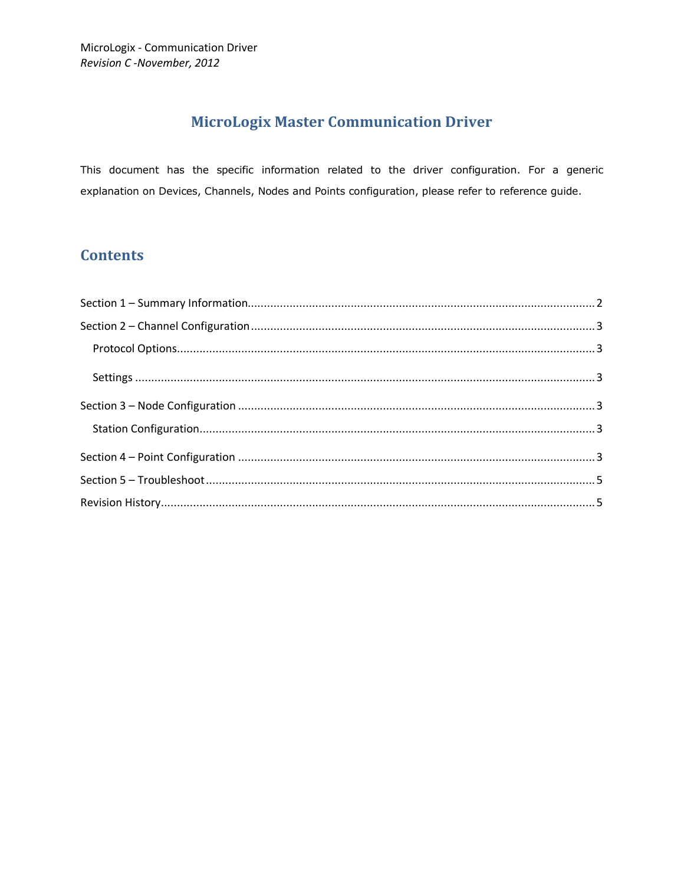# **MicroLogix Master Communication Driver**

This document has the specific information related to the driver configuration. For a generic explanation on Devices, Channels, Nodes and Points configuration, please refer to reference guide.

## **Contents**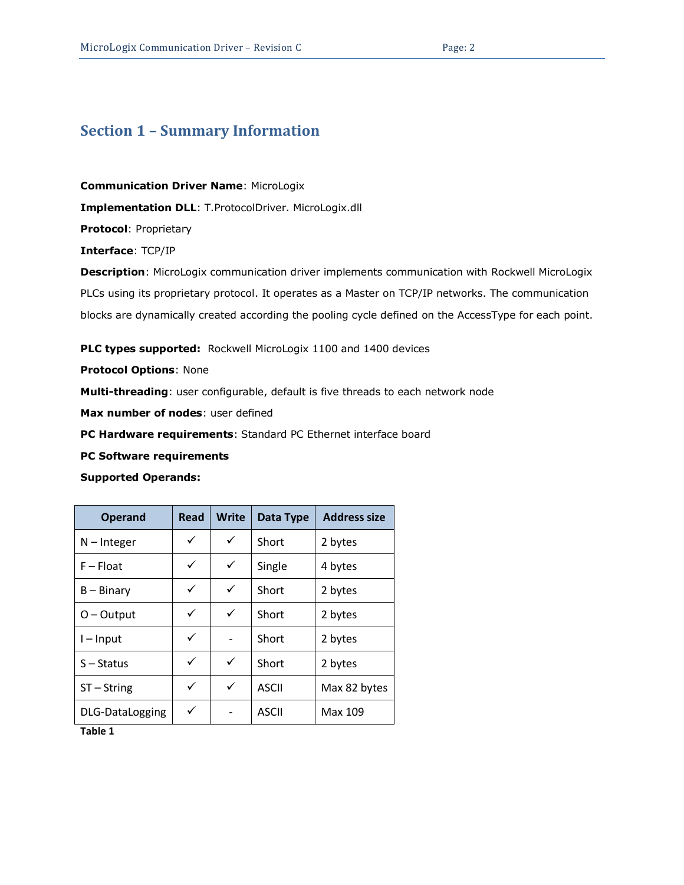#### <span id="page-1-0"></span>**Section 1 – Summary Information**

**Communication Driver Name**: MicroLogix

**Implementation DLL**: T.ProtocolDriver. MicroLogix.dll

**Protocol**: Proprietary

**Interface**: TCP/IP

**Description**: MicroLogix communication driver implements communication with Rockwell MicroLogix PLCs using its proprietary protocol. It operates as a Master on TCP/IP networks. The communication blocks are dynamically created according the pooling cycle defined on the AccessType for each point.

**PLC types supported:** Rockwell MicroLogix 1100 and 1400 devices

**Protocol Options**: None

**Multi-threading**: user configurable, default is five threads to each network node

**Max number of nodes**: user defined

**PC Hardware requirements**: Standard PC Ethernet interface board

**PC Software requirements**

#### **Supported Operands:**

| <b>Operand</b>         | <b>Read</b> | <b>Write</b> | Data Type    | <b>Address size</b> |
|------------------------|-------------|--------------|--------------|---------------------|
| $N - Integer$          | ✓           | ✓            | Short        | 2 bytes             |
| $F - Float$            | ✓           | $\checkmark$ | Single       | 4 bytes             |
| $B - Binary$           | ✓           | ✓            | Short        | 2 bytes             |
| $O-Output$             | ✓           | ✓            | Short        | 2 bytes             |
| $I$ – Input            | ✓           |              | Short        | 2 bytes             |
| $S -$ Status           | ✓           | ✓            | Short        | 2 bytes             |
| $ST - String$          | ✓           | ✓            | <b>ASCII</b> | Max 82 bytes        |
| <b>DLG-DataLogging</b> | ✓           |              | <b>ASCII</b> | Max 109             |

**Table 1**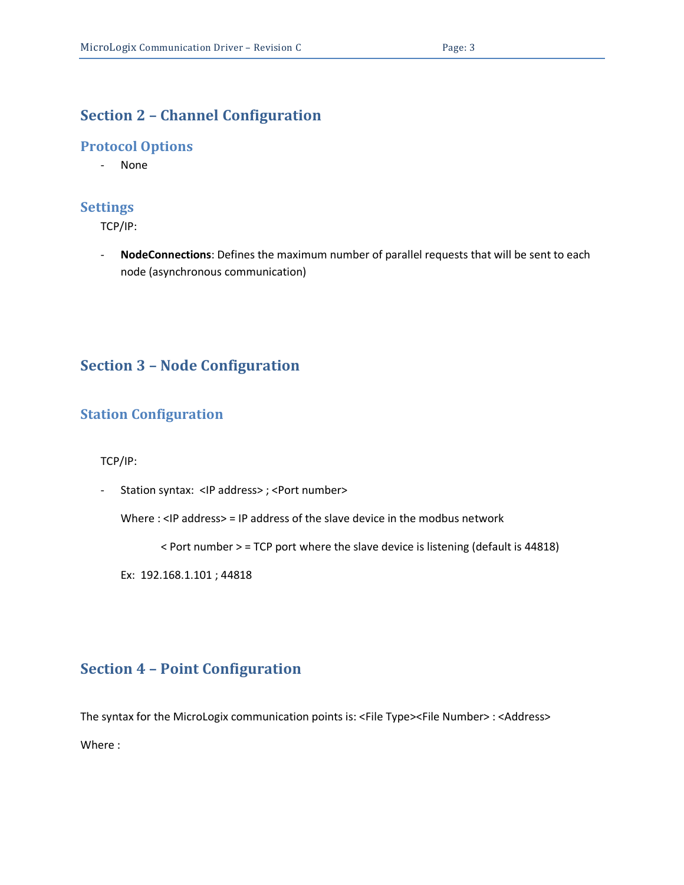## <span id="page-2-0"></span>**Section 2 – Channel Configuration**

#### <span id="page-2-1"></span>**Protocol Options**

- None

#### <span id="page-2-2"></span>**Settings**

TCP/IP:

- **NodeConnections**: Defines the maximum number of parallel requests that will be sent to each node (asynchronous communication)

### <span id="page-2-3"></span>**Section 3 – Node Configuration**

### <span id="page-2-4"></span>**Station Configuration**

TCP/IP:

- Station syntax: <IP address> ; <Port number>

Where : <IP address> = IP address of the slave device in the modbus network

< Port number > = TCP port where the slave device is listening (default is 44818)

Ex: 192.168.1.101 ; 44818

## <span id="page-2-5"></span>**Section 4 – Point Configuration**

The syntax for the MicroLogix communication points is: <File Type><File Number> : <Address> Where :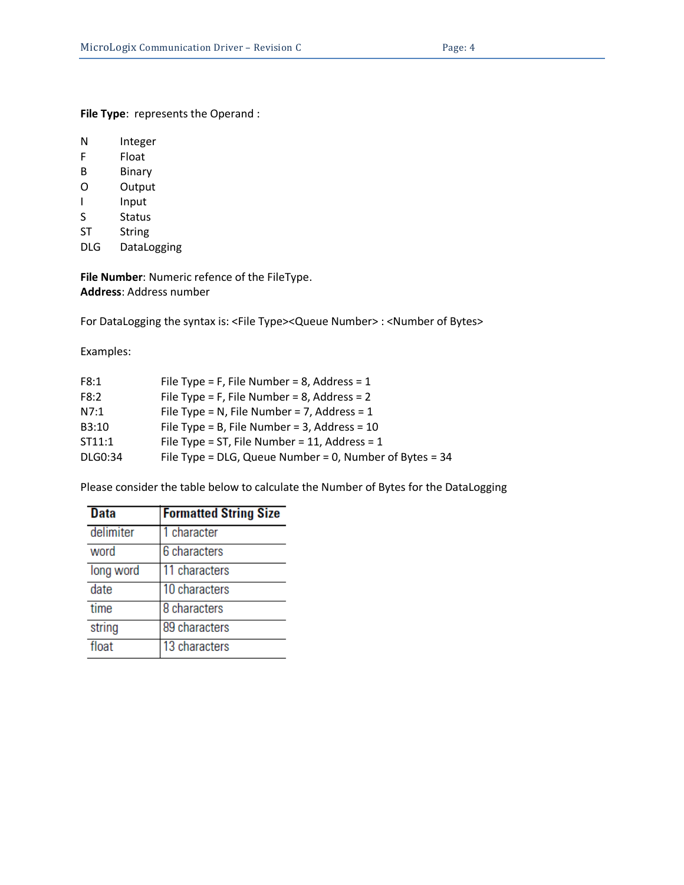**File Type**: represents the Operand :

- F Float
- B Binary
- O Output
- I Input
- S Status
- ST String
- DLG DataLogging

**File Number**: Numeric refence of the FileType. **Address**: Address number

For DataLogging the syntax is: <File Type><Queue Number> : <Number of Bytes>

Examples:

| F8:1    | File Type = F, File Number = 8, Address = $1$              |
|---------|------------------------------------------------------------|
| F8:2    | File Type = F, File Number = 8, Address = $2$              |
| N7:1    | File Type = N, File Number = 7, Address = $1$              |
| B3:10   | File Type = B, File Number = $3$ , Address = $10$          |
| ST11:1  | File Type = ST, File Number = 11, Address = $1$            |
| DLG0:34 | File Type = $DLG$ , Queue Number = 0, Number of Bytes = 34 |

Please consider the table below to calculate the Number of Bytes for the DataLogging

| <b>Data</b> | <b>Formatted String Size</b> |
|-------------|------------------------------|
| delimiter   | 1 character                  |
| word        | 6 characters                 |
| long word   | 11 characters                |
| date        | 10 characters                |
| time        | 8 characters                 |
| string      | 89 characters                |
| float       | 13 characters                |